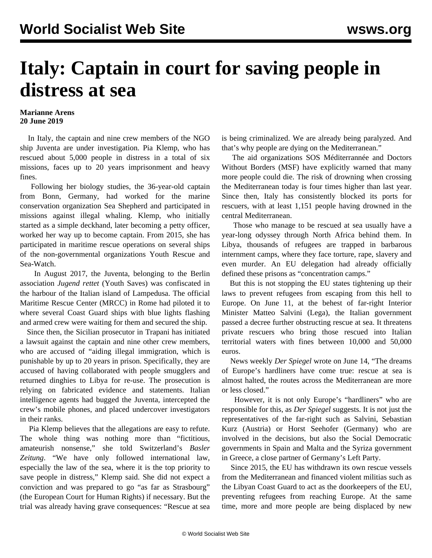## **Italy: Captain in court for saving people in distress at sea**

## **Marianne Arens 20 June 2019**

 In Italy, the captain and nine crew members of the NGO ship Juventa are under investigation. Pia Klemp, who has rescued about 5,000 people in distress in a total of six missions, faces up to 20 years imprisonment and heavy fines.

 Following her biology studies, the 36-year-old captain from Bonn, Germany, had worked for the marine conservation organization Sea Shepherd and participated in missions against illegal whaling. Klemp, who initially started as a simple deckhand, later becoming a petty officer, worked her way up to become captain. From 2015, she has participated in maritime rescue operations on several ships of the non-governmental organizations Youth Rescue and Sea-Watch.

 In August 2017, the Juventa, belonging to the Berlin association *Jugend rettet* (Youth Saves) was confiscated in the harbour of the Italian island of Lampedusa. The official Maritime Rescue Center (MRCC) in Rome had piloted it to where several Coast Guard ships with blue lights flashing and armed crew were waiting for them and secured the ship.

 Since then, the Sicilian prosecutor in Trapani has initiated a lawsuit against the captain and nine other crew members, who are accused of "aiding illegal immigration, which is punishable by up to 20 years in prison. Specifically, they are accused of having collaborated with people smugglers and returned dinghies to Libya for re-use. The prosecution is relying on fabricated evidence and statements. Italian intelligence agents had bugged the Juventa, intercepted the crew's mobile phones, and placed undercover investigators in their ranks.

 Pia Klemp believes that the allegations are easy to refute. The whole thing was nothing more than "fictitious, amateurish nonsense," she told Switzerland's *Basler Zeitung*. "We have only followed international law, especially the law of the sea, where it is the top priority to save people in distress," Klemp said. She did not expect a conviction and was prepared to go "as far as Strasbourg" (the European Court for Human Rights) if necessary. But the trial was already having grave consequences: "Rescue at sea is being criminalized. We are already being paralyzed. And that's why people are dying on the Mediterranean."

 The aid organizations SOS Méditerrannée and Doctors Without Borders (MSF) have explicitly warned that many more people could die. The risk of drowning when crossing the Mediterranean today is four times higher than last year. Since then, Italy has consistently blocked its ports for rescuers, with at least 1,151 people having drowned in the central Mediterranean.

 Those who manage to be rescued at sea usually have a year-long odyssey through North Africa behind them. In Libya, thousands of refugees are trapped in barbarous internment camps, where they face torture, rape, slavery and even murder. An EU delegation had already officially [defined](/en/articles/2018/07/02/pers-j02.html) these prisons as "concentration camps."

 But this is not stopping the EU states tightening up their laws to prevent refugees from escaping from this hell to Europe. On June 11, at the behest of far-right Interior Minister Matteo Salvini (Lega), the Italian government passed a decree further obstructing rescue at sea. It threatens private rescuers who bring those rescued into Italian territorial waters with fines between 10,000 and 50,000 euros.

 News weekly *Der Spiegel* wrote on June 14, "The dreams of Europe's hardliners have come true: rescue at sea is almost halted, the routes across the Mediterranean are more or less closed."

 However, it is not only Europe's "hardliners" who are responsible for this, as *Der Spiegel* suggests. It is not just the representatives of the far-right such as Salvini, Sebastian Kurz (Austria) or Horst Seehofer (Germany) who are involved in the decisions, but also the Social Democratic governments in Spain and Malta and the Syriza government in Greece, a close partner of Germany's Left Party.

 Since 2015, the EU has withdrawn its own rescue vessels from the Mediterranean and [financed](/en/articles/2019/06/01/pari-j01.html) violent militias such as the Libyan Coast Guard to act as the doorkeepers of the EU, preventing refugees from reaching Europe. At the same time, more and more people are being displaced by new